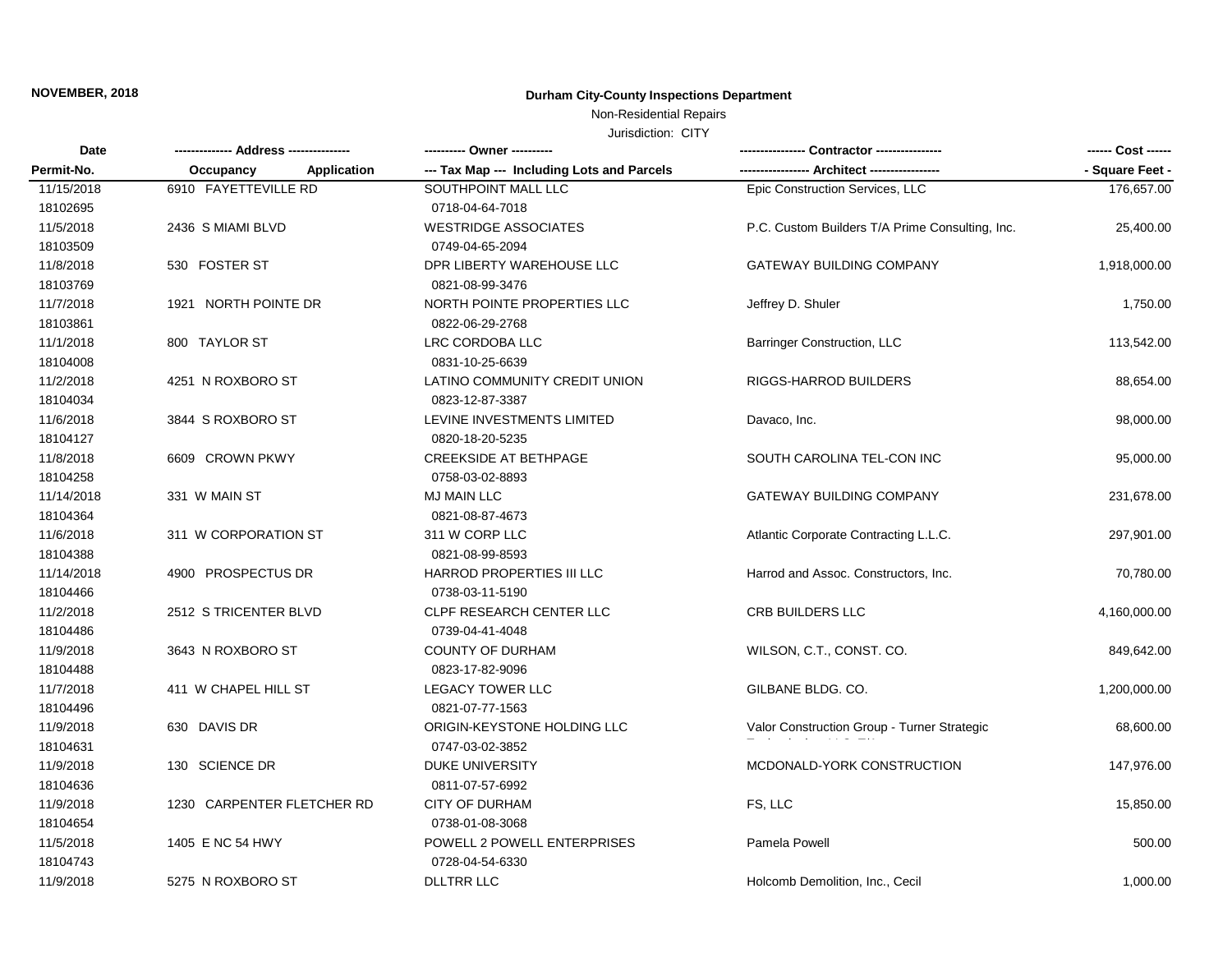## **NOVEMBER, 2018 Durham City-County Inspections Department**

## Non-Residential Repairs

Jurisdiction: CITY

| Date       |                                 | ---------- Owner ----------                |                                                 | ------ Cost ------ |
|------------|---------------------------------|--------------------------------------------|-------------------------------------------------|--------------------|
| Permit-No. | <b>Application</b><br>Occupancy | --- Tax Map --- Including Lots and Parcels |                                                 | - Square Feet -    |
| 11/15/2018 | 6910 FAYETTEVILLE RD            | SOUTHPOINT MALL LLC                        | Epic Construction Services, LLC                 | 176,657.00         |
| 18102695   |                                 | 0718-04-64-7018                            |                                                 |                    |
| 11/5/2018  | 2436 S MIAMI BLVD               | <b>WESTRIDGE ASSOCIATES</b>                | P.C. Custom Builders T/A Prime Consulting, Inc. | 25,400.00          |
| 18103509   |                                 | 0749-04-65-2094                            |                                                 |                    |
| 11/8/2018  | 530 FOSTER ST                   | DPR LIBERTY WAREHOUSE LLC                  | <b>GATEWAY BUILDING COMPANY</b>                 | 1,918,000.00       |
| 18103769   |                                 | 0821-08-99-3476                            |                                                 |                    |
| 11/7/2018  | 1921 NORTH POINTE DR            | NORTH POINTE PROPERTIES LLC                | Jeffrey D. Shuler                               | 1,750.00           |
| 18103861   |                                 | 0822-06-29-2768                            |                                                 |                    |
| 11/1/2018  | 800 TAYLOR ST                   | LRC CORDOBA LLC                            | <b>Barringer Construction, LLC</b>              | 113,542.00         |
| 18104008   |                                 | 0831-10-25-6639                            |                                                 |                    |
| 11/2/2018  | 4251 N ROXBORO ST               | LATINO COMMUNITY CREDIT UNION              | RIGGS-HARROD BUILDERS                           | 88,654.00          |
| 18104034   |                                 | 0823-12-87-3387                            |                                                 |                    |
| 11/6/2018  | 3844 S ROXBORO ST               | LEVINE INVESTMENTS LIMITED                 | Davaco, Inc.                                    | 98,000.00          |
| 18104127   |                                 | 0820-18-20-5235                            |                                                 |                    |
| 11/8/2018  | 6609 CROWN PKWY                 | <b>CREEKSIDE AT BETHPAGE</b>               | SOUTH CAROLINA TEL-CON INC                      | 95,000.00          |
| 18104258   |                                 | 0758-03-02-8893                            |                                                 |                    |
| 11/14/2018 | 331 W MAIN ST                   | <b>MJ MAIN LLC</b>                         | <b>GATEWAY BUILDING COMPANY</b>                 | 231,678.00         |
| 18104364   |                                 | 0821-08-87-4673                            |                                                 |                    |
| 11/6/2018  | 311 W CORPORATION ST            | 311 W CORP LLC                             | Atlantic Corporate Contracting L.L.C.           | 297,901.00         |
| 18104388   |                                 | 0821-08-99-8593                            |                                                 |                    |
| 11/14/2018 | 4900 PROSPECTUS DR              | HARROD PROPERTIES III LLC                  | Harrod and Assoc. Constructors, Inc.            | 70,780.00          |
| 18104466   |                                 | 0738-03-11-5190                            |                                                 |                    |
| 11/2/2018  | 2512 S TRICENTER BLVD           | <b>CLPF RESEARCH CENTER LLC</b>            | <b>CRB BUILDERS LLC</b>                         | 4,160,000.00       |
| 18104486   |                                 | 0739-04-41-4048                            |                                                 |                    |
| 11/9/2018  | 3643 N ROXBORO ST               | <b>COUNTY OF DURHAM</b>                    | WILSON, C.T., CONST. CO.                        | 849,642.00         |
| 18104488   |                                 | 0823-17-82-9096                            |                                                 |                    |
| 11/7/2018  | 411 W CHAPEL HILL ST            | <b>LEGACY TOWER LLC</b>                    | GILBANE BLDG. CO.                               | 1,200,000.00       |
| 18104496   |                                 | 0821-07-77-1563                            |                                                 |                    |
| 11/9/2018  | 630 DAVIS DR                    | ORIGIN-KEYSTONE HOLDING LLC                | Valor Construction Group - Turner Strategic     | 68,600.00          |
| 18104631   |                                 | 0747-03-02-3852                            |                                                 |                    |
| 11/9/2018  | 130 SCIENCE DR                  | <b>DUKE UNIVERSITY</b>                     | MCDONALD-YORK CONSTRUCTION                      | 147,976.00         |
| 18104636   |                                 | 0811-07-57-6992                            |                                                 |                    |
| 11/9/2018  | 1230 CARPENTER FLETCHER RD      | <b>CITY OF DURHAM</b>                      | FS, LLC                                         | 15,850.00          |
| 18104654   |                                 | 0738-01-08-3068                            |                                                 |                    |
| 11/5/2018  | 1405 E NC 54 HWY                | POWELL 2 POWELL ENTERPRISES                | Pamela Powell                                   | 500.00             |
| 18104743   |                                 | 0728-04-54-6330                            |                                                 |                    |
| 11/9/2018  | 5275 N ROXBORO ST               | <b>DLLTRR LLC</b>                          | Holcomb Demolition, Inc., Cecil                 | 1,000.00           |